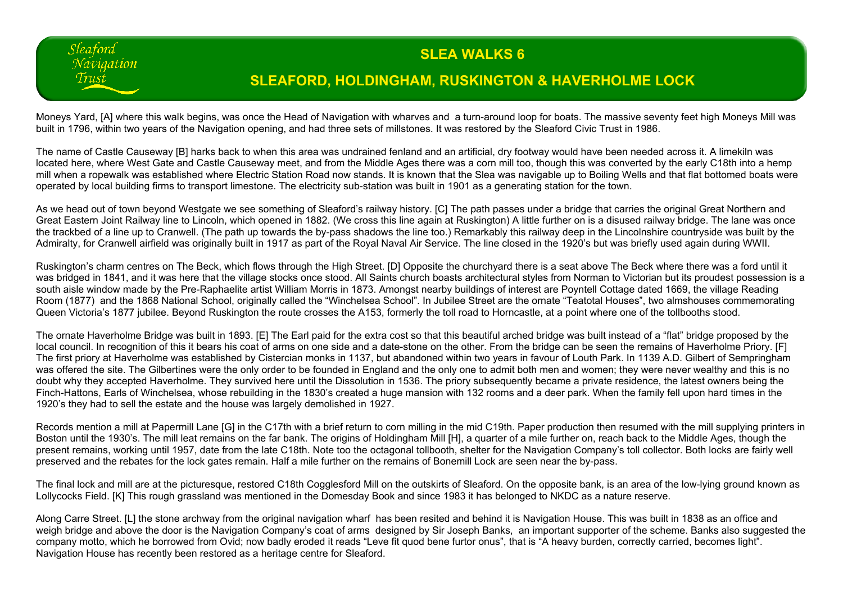## **SLEA WALKS 6**

## **SLEAFORD, HOLDINGHAM, RUSKINGTON & HAVERHOLME LOCK**

Moneys Yard, [A] where this walk begins, was once the Head of Navigation with wharves and a turn-around loop for boats. The massive seventy feet high Moneys Mill was built in 1796, within two years of the Navigation opening, and had three sets of millstones. It was restored by the Sleaford Civic Trust in 1986.

Sleaford Naviaation Trust

The name of Castle Causeway [B] harks back to when this area was undrained fenland and an artificial, dry footway would have been needed across it. A limekiln was located here, where West Gate and Castle Causeway meet, and from the Middle Ages there was a corn mill too, though this was converted by the early C18th into a hemp mill when a ropewalk was established where Electric Station Road now stands. It is known that the Slea was navigable up to Boiling Wells and that flat bottomed boats were operated by local building firms to transport limestone. The electricity sub-station was built in 1901 as a generating station for the town.

As we head out of town beyond Westgate we see something of Sleaford's railway history. [C] The path passes under a bridge that carries the original Great Northern and Great Eastern Joint Railway line to Lincoln, which opened in 1882. (We cross this line again at Ruskington) A little further on is a disused railway bridge. The lane was once the trackbed of a line up to Cranwell. (The path up towards the by-pass shadows the line too.) Remarkably this railway deep in the Lincolnshire countryside was built by the Admiralty, for Cranwell airfield was originally built in 1917 as part of the Royal Naval Air Service. The line closed in the 1920's but was briefly used again during WWII.

Ruskington's charm centres on The Beck, which flows through the High Street. [D] Opposite the churchyard there is a seat above The Beck where there was a ford until it was bridged in 1841, and it was here that the village stocks once stood. All Saints church boasts architectural styles from Norman to Victorian but its proudest possession is a south aisle window made by the Pre-Raphaelite artist William Morris in 1873. Amongst nearby buildings of interest are Poyntell Cottage dated 1669, the village Reading Room (1877) and the 1868 National School, originally called the "Winchelsea School". In Jubilee Street are the ornate "Teatotal Houses", two almshouses commemorating Queen Victoria's 1877 jubilee. Beyond Ruskington the route crosses the A153, formerly the toll road to Horncastle, at a point where one of the tollbooths stood.

The ornate Haverholme Bridge was built in 1893. [E] The Earl paid for the extra cost so that this beautiful arched bridge was built instead of a "flat" bridge proposed by the local council. In recognition of this it bears his coat of arms on one side and a date-stone on the other. From the bridge can be seen the remains of Haverholme Priory. [F] The first priory at Haverholme was established by Cistercian monks in 1137, but abandoned within two years in favour of Louth Park. In 1139 A.D. Gilbert of Sempringham was offered the site. The Gilbertines were the only order to be founded in England and the only one to admit both men and women; they were never wealthy and this is no doubt why they accepted Haverholme. They survived here until the Dissolution in 1536. The priory subsequently became a private residence, the latest owners being the Finch-Hattons, Earls of Winchelsea, whose rebuilding in the 1830's created a huge mansion with 132 rooms and a deer park. When the family fell upon hard times in the 1920's they had to sell the estate and the house was largely demolished in 1927.

Records mention a mill at Papermill Lane [G] in the C17th with a brief return to corn milling in the mid C19th. Paper production then resumed with the mill supplying printers in Boston until the 1930's. The mill leat remains on the far bank. The origins of Holdingham Mill [H], a quarter of a mile further on, reach back to the Middle Ages, though the present remains, working until 1957, date from the late C18th. Note too the octagonal tollbooth, shelter for the Navigation Company's toll collector. Both locks are fairly well preserved and the rebates for the lock gates remain. Half a mile further on the remains of Bonemill Lock are seen near the by-pass.

The final lock and mill are at the picturesque, restored C18th Cogglesford Mill on the outskirts of Sleaford, On the opposite bank, is an area of the low-lying ground known as Lollycocks Field. [K] This rough grassland was mentioned in the Domesday Book and since 1983 it has belonged to NKDC as a nature reserve.

Along Carre Street. [L] the stone archway from the original navigation wharf has been resited and behind it is Navigation House. This was built in 1838 as an office and weigh bridge and above the door is the Navigation Company's coat of arms designed by Sir Joseph Banks, an important supporter of the scheme. Banks also suggested the company motto, which he borrowed from Ovid; now badly eroded it reads "Leve fit quod bene furtor onus", that is "A heavy burden, correctly carried, becomes light". Navigation House has recently been restored as a heritage centre for Sleaford.